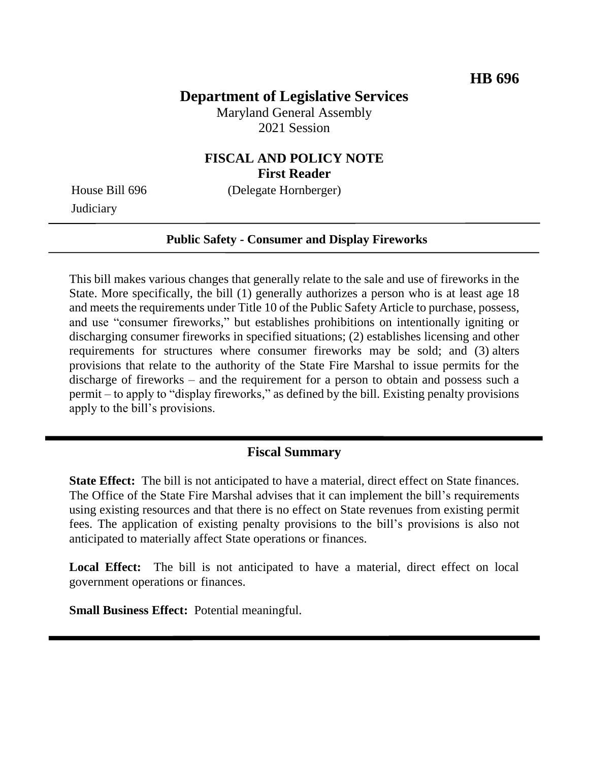# **Department of Legislative Services**

Maryland General Assembly 2021 Session

## **FISCAL AND POLICY NOTE First Reader**

**Judiciary** 

House Bill 696 (Delegate Hornberger)

#### **Public Safety - Consumer and Display Fireworks**

This bill makes various changes that generally relate to the sale and use of fireworks in the State. More specifically, the bill (1) generally authorizes a person who is at least age 18 and meets the requirements under Title 10 of the Public Safety Article to purchase, possess, and use "consumer fireworks," but establishes prohibitions on intentionally igniting or discharging consumer fireworks in specified situations; (2) establishes licensing and other requirements for structures where consumer fireworks may be sold; and (3) alters provisions that relate to the authority of the State Fire Marshal to issue permits for the discharge of fireworks – and the requirement for a person to obtain and possess such a permit – to apply to "display fireworks," as defined by the bill. Existing penalty provisions apply to the bill's provisions.

### **Fiscal Summary**

**State Effect:** The bill is not anticipated to have a material, direct effect on State finances. The Office of the State Fire Marshal advises that it can implement the bill's requirements using existing resources and that there is no effect on State revenues from existing permit fees. The application of existing penalty provisions to the bill's provisions is also not anticipated to materially affect State operations or finances.

Local Effect: The bill is not anticipated to have a material, direct effect on local government operations or finances.

**Small Business Effect:** Potential meaningful.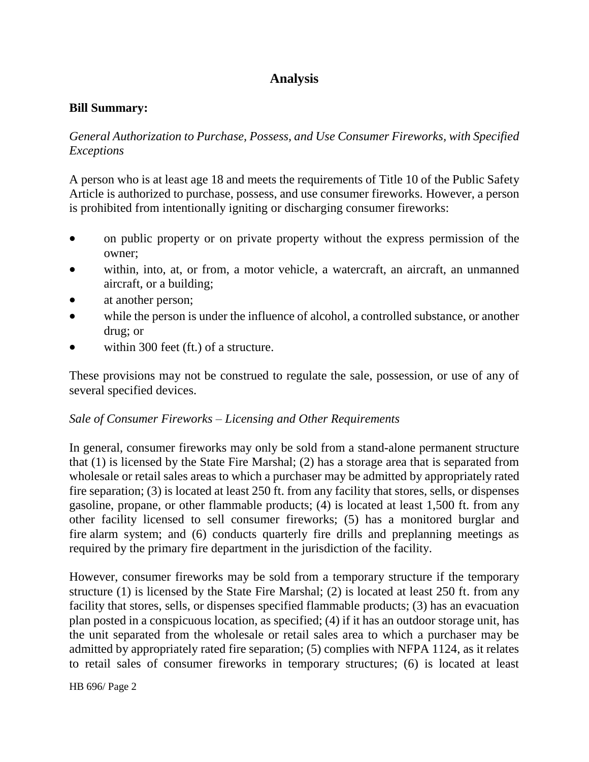# **Analysis**

### **Bill Summary:**

*General Authorization to Purchase, Possess, and Use Consumer Fireworks, with Specified Exceptions*

A person who is at least age 18 and meets the requirements of Title 10 of the Public Safety Article is authorized to purchase, possess, and use consumer fireworks. However, a person is prohibited from intentionally igniting or discharging consumer fireworks:

- on public property or on private property without the express permission of the owner;
- within, into, at, or from, a motor vehicle, a watercraft, an aircraft, an unmanned aircraft, or a building;
- at another person;
- while the person is under the influence of alcohol, a controlled substance, or another drug; or
- within 300 feet (ft.) of a structure.

These provisions may not be construed to regulate the sale, possession, or use of any of several specified devices.

#### *Sale of Consumer Fireworks – Licensing and Other Requirements*

In general, consumer fireworks may only be sold from a stand-alone permanent structure that (1) is licensed by the State Fire Marshal; (2) has a storage area that is separated from wholesale or retail sales areas to which a purchaser may be admitted by appropriately rated fire separation; (3) is located at least 250 ft. from any facility that stores, sells, or dispenses gasoline, propane, or other flammable products; (4) is located at least 1,500 ft. from any other facility licensed to sell consumer fireworks; (5) has a monitored burglar and fire alarm system; and (6) conducts quarterly fire drills and preplanning meetings as required by the primary fire department in the jurisdiction of the facility.

However, consumer fireworks may be sold from a temporary structure if the temporary structure (1) is licensed by the State Fire Marshal; (2) is located at least 250 ft. from any facility that stores, sells, or dispenses specified flammable products; (3) has an evacuation plan posted in a conspicuous location, as specified; (4) if it has an outdoor storage unit, has the unit separated from the wholesale or retail sales area to which a purchaser may be admitted by appropriately rated fire separation; (5) complies with NFPA 1124, as it relates to retail sales of consumer fireworks in temporary structures; (6) is located at least

HB 696/ Page 2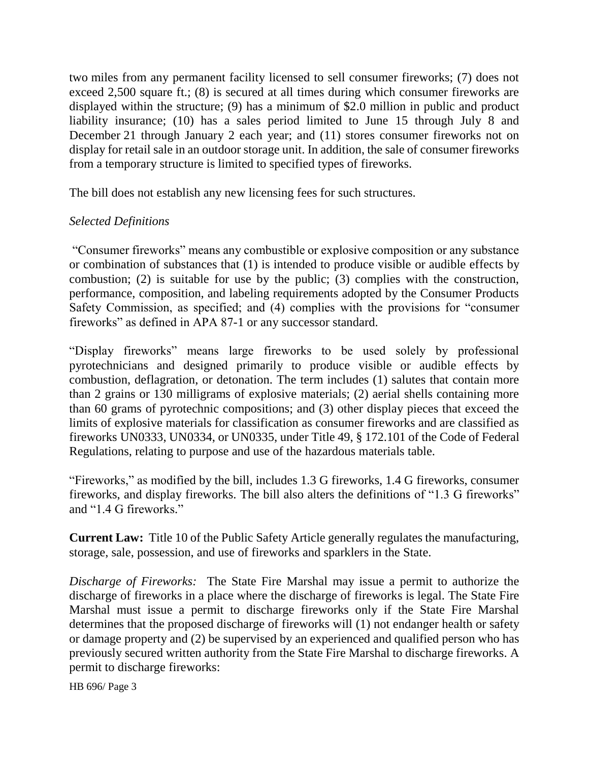two miles from any permanent facility licensed to sell consumer fireworks; (7) does not exceed 2,500 square ft.; (8) is secured at all times during which consumer fireworks are displayed within the structure; (9) has a minimum of \$2.0 million in public and product liability insurance; (10) has a sales period limited to June 15 through July 8 and December 21 through January 2 each year; and (11) stores consumer fireworks not on display for retail sale in an outdoor storage unit. In addition, the sale of consumer fireworks from a temporary structure is limited to specified types of fireworks.

The bill does not establish any new licensing fees for such structures.

## *Selected Definitions*

"Consumer fireworks" means any combustible or explosive composition or any substance or combination of substances that (1) is intended to produce visible or audible effects by combustion; (2) is suitable for use by the public; (3) complies with the construction, performance, composition, and labeling requirements adopted by the Consumer Products Safety Commission, as specified; and (4) complies with the provisions for "consumer fireworks" as defined in APA 87-1 or any successor standard.

"Display fireworks" means large fireworks to be used solely by professional pyrotechnicians and designed primarily to produce visible or audible effects by combustion, deflagration, or detonation. The term includes (1) salutes that contain more than 2 grains or 130 milligrams of explosive materials; (2) aerial shells containing more than 60 grams of pyrotechnic compositions; and (3) other display pieces that exceed the limits of explosive materials for classification as consumer fireworks and are classified as fireworks UN0333, UN0334, or UN0335, under Title 49, § 172.101 of the Code of Federal Regulations, relating to purpose and use of the hazardous materials table.

"Fireworks," as modified by the bill, includes 1.3 G fireworks, 1.4 G fireworks, consumer fireworks, and display fireworks. The bill also alters the definitions of "1.3 G fireworks" and "1.4 G fireworks."

**Current Law:** Title 10 of the Public Safety Article generally regulates the manufacturing, storage, sale, possession, and use of fireworks and sparklers in the State.

*Discharge of Fireworks:* The State Fire Marshal may issue a permit to authorize the discharge of fireworks in a place where the discharge of fireworks is legal. The State Fire Marshal must issue a permit to discharge fireworks only if the State Fire Marshal determines that the proposed discharge of fireworks will (1) not endanger health or safety or damage property and (2) be supervised by an experienced and qualified person who has previously secured written authority from the State Fire Marshal to discharge fireworks. A permit to discharge fireworks:

HB 696/ Page 3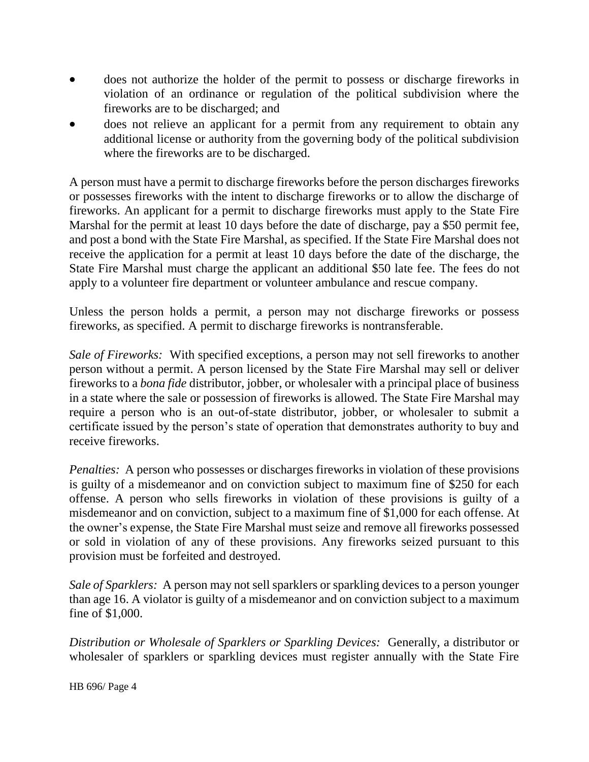- does not authorize the holder of the permit to possess or discharge fireworks in violation of an ordinance or regulation of the political subdivision where the fireworks are to be discharged; and
- does not relieve an applicant for a permit from any requirement to obtain any additional license or authority from the governing body of the political subdivision where the fireworks are to be discharged.

A person must have a permit to discharge fireworks before the person discharges fireworks or possesses fireworks with the intent to discharge fireworks or to allow the discharge of fireworks. An applicant for a permit to discharge fireworks must apply to the State Fire Marshal for the permit at least 10 days before the date of discharge, pay a \$50 permit fee, and post a bond with the State Fire Marshal, as specified. If the State Fire Marshal does not receive the application for a permit at least 10 days before the date of the discharge, the State Fire Marshal must charge the applicant an additional \$50 late fee. The fees do not apply to a volunteer fire department or volunteer ambulance and rescue company.

Unless the person holds a permit, a person may not discharge fireworks or possess fireworks, as specified. A permit to discharge fireworks is nontransferable.

*Sale of Fireworks:* With specified exceptions, a person may not sell fireworks to another person without a permit. A person licensed by the State Fire Marshal may sell or deliver fireworks to a *bona fide* distributor, jobber, or wholesaler with a principal place of business in a state where the sale or possession of fireworks is allowed. The State Fire Marshal may require a person who is an out-of-state distributor, jobber, or wholesaler to submit a certificate issued by the person's state of operation that demonstrates authority to buy and receive fireworks.

*Penalties:* A person who possesses or discharges fireworks in violation of these provisions is guilty of a misdemeanor and on conviction subject to maximum fine of \$250 for each offense. A person who sells fireworks in violation of these provisions is guilty of a misdemeanor and on conviction, subject to a maximum fine of \$1,000 for each offense. At the owner's expense, the State Fire Marshal must seize and remove all fireworks possessed or sold in violation of any of these provisions. Any fireworks seized pursuant to this provision must be forfeited and destroyed.

*Sale of Sparklers:* A person may not sell sparklers or sparkling devices to a person younger than age 16. A violator is guilty of a misdemeanor and on conviction subject to a maximum fine of \$1,000.

*Distribution or Wholesale of Sparklers or Sparkling Devices:* Generally, a distributor or wholesaler of sparklers or sparkling devices must register annually with the State Fire

HB 696/ Page 4